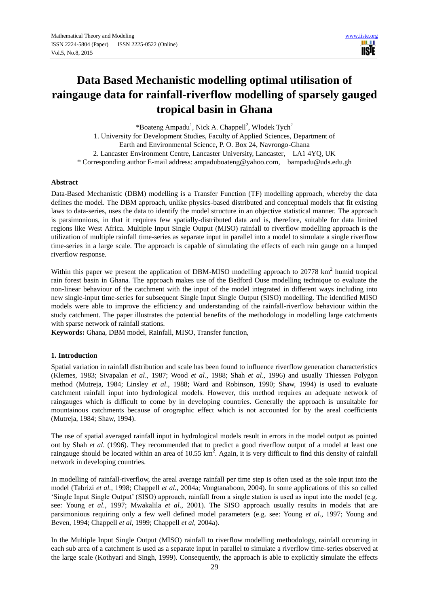18.11 **USIE** 

# **Data Based Mechanistic modelling optimal utilisation of raingauge data for rainfall-riverflow modelling of sparsely gauged tropical basin in Ghana**

\*Boateng Ampadu<sup>1</sup>, Nick A. Chappell<sup>2</sup>, Wlodek Tych<sup>2</sup> 1. University for Development Studies, Faculty of Applied Sciences, Department of Earth and Environmental Science, P. O. Box 24, Navrongo-Ghana 2. Lancaster Environment Centre, Lancaster University, Lancaster, LA1 4YQ, UK \* Corresponding author E-mail address: ampaduboateng@yahoo.com, bampadu@uds.edu.gh

#### **Abstract**

Data-Based Mechanistic (DBM) modelling is a Transfer Function (TF) modelling approach, whereby the data defines the model. The DBM approach, unlike physics-based distributed and conceptual models that fit existing laws to data-series, uses the data to identify the model structure in an objective statistical manner. The approach is parsimonious, in that it requires few spatially-distributed data and is, therefore, suitable for data limited regions like West Africa. Multiple Input Single Output (MISO) rainfall to riverflow modelling approach is the utilization of multiple rainfall time-series as separate input in parallel into a model to simulate a single riverflow time-series in a large scale. The approach is capable of simulating the effects of each rain gauge on a lumped riverflow response.

Within this paper we present the application of DBM-MISO modelling approach to  $20778 \text{ km}^2$  humid tropical rain forest basin in Ghana. The approach makes use of the Bedford Ouse modelling technique to evaluate the non-linear behaviour of the catchment with the input of the model integrated in different ways including into new single-input time-series for subsequent Single Input Single Output (SISO) modelling. The identified MISO models were able to improve the efficiency and understanding of the rainfall-riverflow behaviour within the study catchment. The paper illustrates the potential benefits of the methodology in modelling large catchments with sparse network of rainfall stations.

**Keywords:** Ghana, DBM model, Rainfall, MISO, Transfer function,

#### **1. Introduction**

Spatial variation in rainfall distribution and scale has been found to influence riverflow generation characteristics (Klemes, 1983; Sivapalan *et al*., 1987; Wood *et al*., 1988; Shah *et al*., 1996) and usually Thiessen Polygon method (Mutreja, 1984; Linsley *et al*., 1988; Ward and Robinson, 1990; Shaw, 1994) is used to evaluate catchment rainfall input into hydrological models. However, this method requires an adequate network of raingauges which is difficult to come by in developing countries. Generally the approach is unsuitable for mountainous catchments because of orographic effect which is not accounted for by the areal coefficients (Mutreja, 1984; Shaw, 1994).

The use of spatial averaged rainfall input in hydrological models result in errors in the model output as pointed out by Shah *et al*. (1996). They recommended that to predict a good riverflow output of a model at least one raingauge should be located within an area of 10.55 km<sup>2</sup>. Again, it is very difficult to find this density of rainfall network in developing countries.

In modelling of rainfall-riverflow, the areal average rainfall per time step is often used as the sole input into the model (Tabrizi *et al.*, 1998; Chappell *et al.*, 2004a; Vongtanaboon, 2004). In some applications of this so called 'Single Input Single Output' (SISO) approach, rainfall from a single station is used as input into the model (e.g. see: Young *et al*., 1997; Mwakalila *et al*., 2001). The SISO approach usually results in models that are parsimonious requiring only a few well defined model parameters (e.g. see: Young *et al*., 1997; Young and Beven, 1994; Chappell *et al*, 1999; Chappell *et al*, 2004a).

In the Multiple Input Single Output (MISO) rainfall to riverflow modelling methodology, rainfall occurring in each sub area of a catchment is used as a separate input in parallel to simulate a riverflow time-series observed at the large scale (Kothyari and Singh, 1999). Consequently, the approach is able to explicitly simulate the effects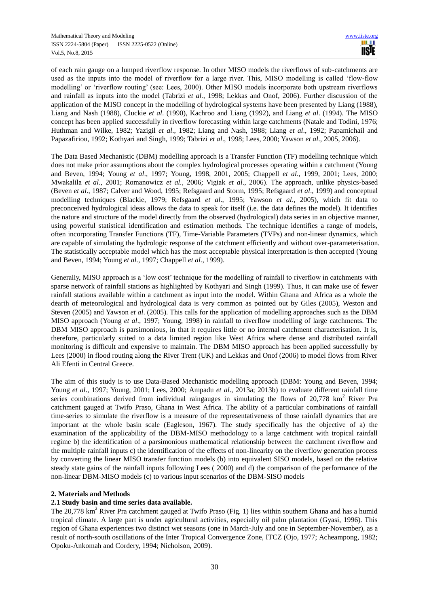of each rain gauge on a lumped riverflow response. In other MISO models the riverflows of sub-catchments are used as the inputs into the model of riverflow for a large river. This, MISO modelling is called 'flow-flow modelling' or 'riverflow routing' (see: Lees, 2000). Other MISO models incorporate both upstream riverflows and rainfall as inputs into the model (Tabrizi *et al.*, 1998; Lekkas and Onof, 2006). Further discussion of the application of the MISO concept in the modelling of hydrological systems have been presented by Liang (1988), Liang and Nash (1988), Cluckie *et al*. (1990), Kachroo and Liang (1992), and Liang *et al*. (1994). The MISO concept has been applied successfully in riverflow forecasting within large catchments (Natale and Todini, 1976; Huthman and Wilke, 1982; Yazigil *et al*., 1982; Liang and Nash, 1988; Liang *et al*., 1992; Papamichail and Papazafiriou, 1992; Kothyari and Singh, 1999; Tabrizi *et al*., 1998; Lees, 2000; Yawson *et al*., 2005, 2006).

The Data Based Mechanistic (DBM) modelling approach is a Transfer Function (TF) modelling technique which does not make prior assumptions about the complex hydrological processes operating within a catchment (Young and Beven, 1994; Young *et al*., 1997; Young, 1998, 2001, 2005; Chappell *et al*., 1999, 2001; Lees, 2000; Mwakalila *et al*., 2001; Romanowicz *et al.*, 2006; Vigiak *et al*., 2006). The approach, unlike physics-based (Beven *et al*., 1987; Calver and Wood, 1995; Refsgaard and Storm, 1995; Refsgaard *et al*., 1999) and conceptual modelling techniques (Blackie, 1979; Refsgaard *et al*., 1995; Yawson *et al*., 2005), which fit data to preconceived hydrological ideas allows the data to speak for itself (i.e. the data defines the model). It identifies the nature and structure of the model directly from the observed (hydrological) data series in an objective manner, using powerful statistical identification and estimation methods. The technique identifies a range of models, often incorporating Transfer Functions (TF), Time-Variable Parameters (TVPs) and non-linear dynamics, which are capable of simulating the hydrologic response of the catchment efficiently and without over-parameterisation. The statistically acceptable model which has the most acceptable physical interpretation is then accepted (Young and Beven, 1994; Young *et al.*, 1997; Chappell *et al.*, 1999).

Generally, MISO approach is a 'low cost' technique for the modelling of rainfall to riverflow in catchments with sparse network of rainfall stations as highlighted by Kothyari and Singh (1999). Thus, it can make use of fewer rainfall stations available within a catchment as input into the model. Within Ghana and Africa as a whole the dearth of meteorological and hydrological data is very common as pointed out by Giles (2005), Weston and Steven (2005) and Yawson *et al*. (2005). This calls for the application of modelling approaches such as the DBM MISO approach (Young *et al*., 1997; Young, 1998) in rainfall to riverflow modelling of large catchments. The DBM MISO approach is parsimonious, in that it requires little or no internal catchment characterisation. It is, therefore, particularly suited to a data limited region like West Africa where dense and distributed rainfall monitoring is difficult and expensive to maintain. The DBM MISO approach has been applied successfully by Lees (2000) in flood routing along the River Trent (UK) and Lekkas and Onof (2006) to model flows from River Ali Efenti in Central Greece.

The aim of this study is to use Data-Based Mechanistic modelling approach (DBM: Young and Beven, 1994; Young *et al*., 1997; Young, 2001; Lees, 2000; Ampadu *et al*., 2013a; 2013b) to evaluate different rainfall time series combinations derived from individual raingauges in simulating the flows of  $20,778$  km<sup>2</sup> River Pra catchment gauged at Twifo Praso, Ghana in West Africa. The ability of a particular combinations of rainfall time-series to simulate the riverflow is a measure of the representativeness of those rainfall dynamics that are important at the whole basin scale (Eagleson, 1967). The study specifically has the objective of a) the examination of the applicability of the DBM-MISO methodology to a large catchment with tropical rainfall regime b) the identification of a parsimonious mathematical relationship between the catchment riverflow and the multiple rainfall inputs c) the identification of the effects of non-linearity on the riverflow generation process by converting the linear MISO transfer function models (b) into equivalent SISO models, based on the relative steady state gains of the rainfall inputs following Lees ( 2000) and d) the comparison of the performance of the non-linear DBM-MISO models (c) to various input scenarios of the DBM-SISO models

# **2. Materials and Methods**

# **2.1 Study basin and time series data available.**

The 20,778 km<sup>2</sup> River Pra catchment gauged at Twifo Praso (Fig. 1) lies within southern Ghana and has a humid tropical climate. A large part is under agricultural activities, especially oil palm plantation (Gyasi, 1996). This region of Ghana experiences two distinct wet seasons (one in March-July and one in September-November), as a result of north-south oscillations of the Inter Tropical Convergence Zone, ITCZ (Ojo, 1977; Acheampong, 1982; Opoku-Ankomah and Cordery, 1994; Nicholson, 2009).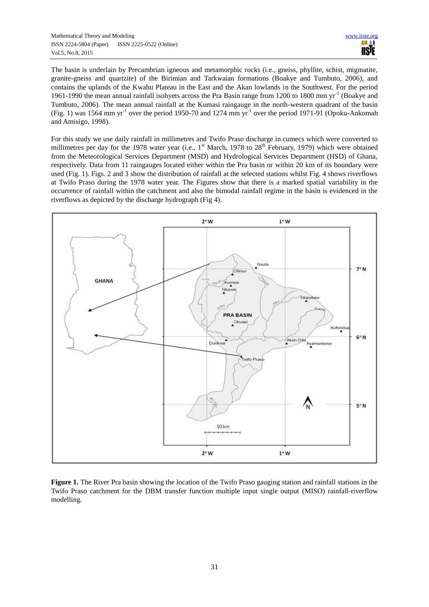The basin is underlain by Precambrian igneous and metamorphic rocks (i.e., gneiss, phyllite, schist, migmatite, granite-gneiss and quartzite) of the Birimian and Tarkwaian formations (Boakye and Tumbuto, 2006), and contains the uplands of the Kwahu Plateau in the East and the Akan lowlands in the Southwest. For the period 1961-1990 the mean annual rainfall isohyets across the Pra Basin range from 1200 to 1800 mm yr<sup>-1</sup> (Boakye and Tumbuto, 2006). The mean annual rainfall at the Kumasi raingauge in the north-western quadrant of the basin (Fig. 1) was 1564 mm yr<sup>-1</sup> over the period 1950-70 and 1274 mm yr<sup>-1</sup> over the period 1971-91 (Opoku-Ankomah and Amisigo, 1998).

For this study we use daily rainfall in millimetres and Twifo Praso discharge in cumecs which were converted to millimetres per day for the 1978 water year (i.e.,  $1<sup>st</sup>$  March, 1978 to  $28<sup>th</sup>$  February, 1979) which were obtained from the Meteorological Services Department (MSD) and Hydrological Services Department (HSD) of Ghana, respectively. Data from 11 raingauges located either within the Pra basin or within 20 km of its boundary were used (Fig. 1). Figs. 2 and 3 show the distribution of rainfall at the selected stations whilst Fig. 4 shows riverflows at Twifo Praso during the 1978 water year. The Figures show that there is a marked spatial variability in the occurrence of rainfall within the catchment and also the bimodal rainfall regime in the basin is evidenced in the riverflows as depicted by the discharge hydrograph (Fig 4).



**Figure 1.** The River Pra basin showing the location of the Twifo Praso gauging station and rainfall stations in the Twifo Praso catchment for the DBM transfer function multiple input single output (MISO) rainfall-riverflow modelling.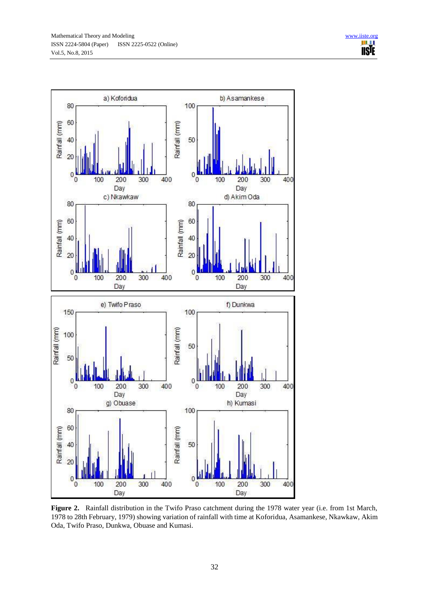

**Figure 2.** Rainfall distribution in the Twifo Praso catchment during the 1978 water year (i.e. from 1st March, 1978 to 28th February, 1979) showing variation of rainfall with time at Koforidua, Asamankese, Nkawkaw, Akim Oda, Twifo Praso, Dunkwa, Obuase and Kumasi.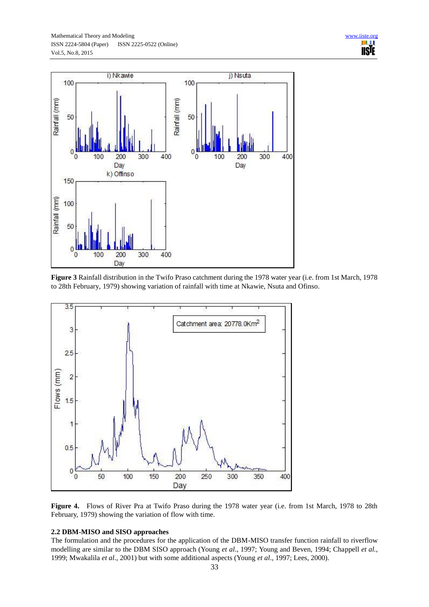![](_page_4_Figure_2.jpeg)

**Figure 3** Rainfall distribution in the Twifo Praso catchment during the 1978 water year (i.e. from 1st March, 1978 to 28th February, 1979) showing variation of rainfall with time at Nkawie, Nsuta and Ofinso.

![](_page_4_Figure_4.jpeg)

Figure 4. Flows of River Pra at Twifo Praso during the 1978 water year (i.e. from 1st March, 1978 to 28th February, 1979) showing the variation of flow with time.

## **2.2 DBM-MISO and SISO approaches**

The formulation and the procedures for the application of the DBM-MISO transfer function rainfall to riverflow modelling are similar to the DBM SISO approach (Young *et al*., 1997; Young and Beven, 1994; Chappell *et al.*, 1999; Mwakalila *et al*., 2001) but with some additional aspects (Young *et al*., 1997; Lees, 2000).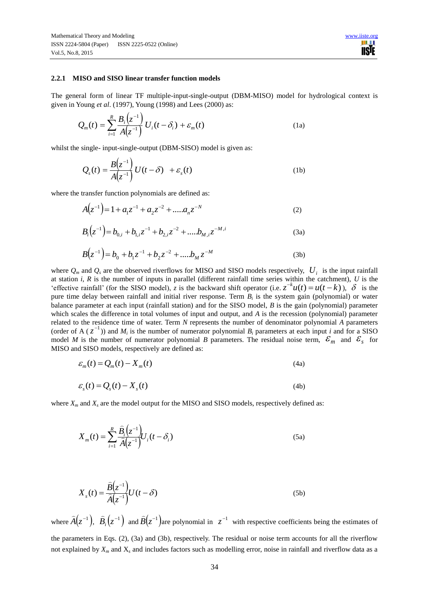#### **2.2.1 MISO and SISO linear transfer function models**

The general form of linear TF multiple-input-single-output (DBM-MISO) model for hydrological context is given in Young *et al*. (1997), Young (1998) and Lees (2000) as:

$$
Q_m(t) = \sum_{i=1}^{R} \frac{B_i(z^{-1})}{A(z^{-1})} U_i(t - \delta_i) + \varepsilon_m(t)
$$
 (1a)

whilst the single- input-single-output (DBM-SISO) model is given as:

$$
Q_s(t) = \frac{B(z^{-1})}{A(z^{-1})} U(t - \delta) + \varepsilon_s(t)
$$
 (1b)

where the transfer function polynomials are defined as:

$$
A(z^{-1}) = 1 + a_1 z^{-1} + a_2 z^{-2} + \dots a_n z^{-N}
$$
 (2)

$$
B_i(z^{-1}) = b_{0,i} + b_{1,i}z^{-1} + b_{2,i}z^{-2} + \dots + b_{M,i}z^{-M,i}
$$
 (3a)

$$
B(z^{-1}) = b_0 + b_1 z^{-1} + b_2 z^{-2} + \dots + b_M z^{-M}
$$
 (3b)

where  $Q_m$  and  $Q_s$  are the observed riverflows for MISO and SISO models respectively,  $U_i$  is the input rainfall at station *i*, *R* is the number of inputs in parallel (different rainfall time series within the catchment), *U* is the 'effective rainfall' (for the SISO model), *z* is the backward shift operator (i.e.  $z^{-k}u(t) = u(t-k)$ ),  $\delta$  is the pure time delay between rainfall and initial river response. Term *B<sup>i</sup>* is the system gain (polynomial) or water balance parameter at each input (rainfall station) and for the SISO model, *B* is the gain (polynomial) parameter which scales the difference in total volumes of input and output, and *A* is the recession (polynomial) parameter related to the residence time of water. Term *N* represents the number of denominator polynomial *A* parameters (order of A ( $z^{-1}$ )) and  $M_i$  is the number of numerator polynomial  $B_i$  parameters at each input *i* and for a SISO model *M* is the number of numerator polynomial *B* parameters. The residual noise term,  $\mathcal{E}_m$  and  $\mathcal{E}_s$  for MISO and SISO models, respectively are defined as:

$$
\varepsilon_m(t) = Q_m(t) - X_m(t) \tag{4a}
$$

$$
\varepsilon_s(t) = Q_s(t) - X_s(t) \tag{4b}
$$

where *X<sup>m</sup>* and *X<sup>s</sup>* are the model output for the MISO and SISO models, respectively defined as:

$$
X_{m}(t) = \sum_{i=1}^{R} \frac{\widehat{B}_{i}(z^{-1})}{\widehat{A}(z^{-1})} U_{i}(t - \delta_{i})
$$
\n(5a)

$$
X_s(t) = \frac{\widehat{B}(z^{-1})}{\widehat{A}(z^{-1})} U(t - \delta)
$$
\n(5b)

where  $\widehat{A}(z^{-1}),$  $\overline{a}$  $\hat{B}_i(z^{-1})$  $\overline{a}$ and  $\widehat{B}(z^{-1})_i$  $\overline{\phantom{0}}$ are polynomial in  $z^{-1}$  with respective coefficients being the estimates of the parameters in Eqs. (2), (3a) and (3b), respectively. The residual or noise term accounts for all the riverflow not explained by  $X_m$  and  $X_s$  and includes factors such as modelling error, noise in rainfall and riverflow data as a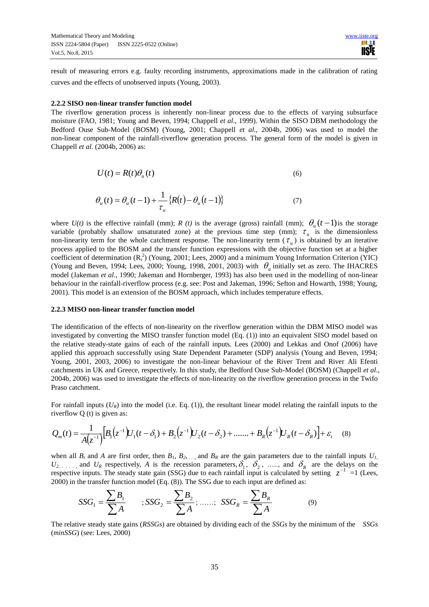result of measuring errors e.g. faulty recording instruments, approximations made in the calibration of rating curves and the effects of unobserved inputs (Young, 2003).

#### **2.2.2 SISO non-linear transfer function model**

The riverflow generation process is inherently non-linear process due to the effects of varying subsurface moisture (FAO, 1981; Young and Beven, 1994; Chappell *et al*., 1999). Within the SISO DBM methodology the Bedford Ouse Sub-Model (BOSM) (Young, 2001; Chappell *et al*., 2004b, 2006) was used to model the non-linear component of the rainfall-riverflow generation process. The general form of the model is given in Chappell *et al*. (2004b, 2006) as:

$$
U(t) = R(t)\theta_u(t) \tag{6}
$$

$$
\theta_u(t) = \theta_u(t-1) + \frac{1}{\tau_u} \{ R(t) - \theta_u(t-1) \}
$$
\n(7)

where  $U(t)$  is the effective rainfall (mm); *R (t)* is the average (gross) rainfall (mm);  $\theta_u(t-1)$  is the storage variable (probably shallow unsaturated zone) at the previous time step (mm);  $\tau_{u}$  is the dimensionless non-linearity term for the whole catchment response. The non-linearity term  $(\tau_u)$  is obtained by an iterative process applied to the BOSM and the transfer function expressions with the objective function set at a higher coefficient of determination  $(R<sub>t</sub><sup>2</sup>)$  (Young, 2001; Lees, 2000) and a minimum Young Information Criterion (YIC) (Young and Beven, 1994; Lees, 2000; Young, 1998, 2001, 2003) with  $\theta_u$  initially set as zero. The IHACRES model (Jakeman *et al*., 1990; Jakeman and Hornberger, 1993) has also been used in the modelling of non-linear behaviour in the rainfall-riverflow process (e.g. see: Post and Jakeman, 1996; Sefton and Howarth, 1998; Young, 2001). This model is an extension of the BOSM approach, which includes temperature effects.

#### **2.2.3 MISO non-linear transfer function model**

The identification of the effects of non-linearity on the riverflow generation within the DBM MISO model was investigated by converting the MISO transfer function model (Eq. (1)) into an equivalent SISO model based on the relative steady-state gains of each of the rainfall inputs. Lees (2000) and Lekkas and Onof (2006) have applied this approach successfully using State Dependent Parameter (SDP) analysis (Young and Beven, 1994; Young, 2001, 2003, 2006) to investigate the non-linear behaviour of the River Trent and River Ali Efenti catchments in UK and Greece, respectively. In this study, the Bedford Ouse Sub-Model (BOSM) (Chappell *et al*., 2004b, 2006) was used to investigate the effects of non-linearity on the riverflow generation process in the Twifo Praso catchment.

For rainfall inputs  $(U_R)$  into the model (i.e. Eq. (1)), the resultant linear model relating the rainfall inputs to the riverflow Q (t) is given as:

$$
Q_m(t) = \frac{1}{A(z^{-1})} \Big[ B_1(z^{-1}) U_1(t - \delta_1) + B_2(z^{-1}) U_2(t - \delta_2) + \dots + B_R(z^{-1}) U_R(t - \delta_R) \Big] + \varepsilon_t \tag{8}
$$

when all  $B_i$  and  $A$  are first order, then  $B_i$ ,  $B_2$ , ..., and  $B_R$  are the gain parameters due to the rainfall inputs  $U_{I_i}$  $U_2, \ldots$ , and  $U_R$  respectively, *A* is the recession parameters,  $\delta_1, \delta_2, \ldots$ , and  $\delta_R$  are the delays on the respective inputs. The steady state gain (SSG) due to each rainfall input is calculated by setting  $z^{-1}$  =1 (Lees, 2000) in the transfer function model (Eq. (8)). The SSG due to each input are defined as:

$$
SSG_1 = \frac{\sum B_1}{\sum A} \qquad ; SSG_2 = \frac{\sum B_2}{\sum A}; \ \ldots \quad ; \ \ SSG_R = \frac{\sum B_R}{\sum A} \tag{9}
$$

The relative steady state gains (*RSSGs*) are obtained by dividing each of the *SSGs* by the minimum of the *SSGs* (*minSSG*) (see: Lees, 2000)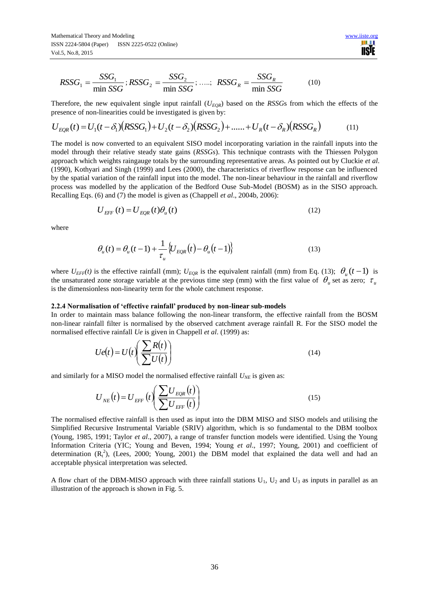$$
RSSG_1 = \frac{SSG_1}{\min SSG}; RSSG_2 = \frac{SSG_2}{\min SSG}; \dots; RSSG_R = \frac{SSG_R}{\min SSG}
$$
(10)

Therefore, the new equivalent single input rainfall  $(U_{EOR})$  based on the *RSSGs* from which the effects of the presence of non-linearities could be investigated is given by:

$$
U_{EQR}(t) = U_1(t - \delta_1)(RSSG_1) + U_2(t - \delta_2)(RSSG_2) + \dots + U_R(t - \delta_R)(RSSG_R)
$$
(11)

The model is now converted to an equivalent SISO model incorporating variation in the rainfall inputs into the model through their relative steady state gains (*RSSGs*). This technique contrasts with the Thiessen Polygon approach which weights raingauge totals by the surrounding representative areas. As pointed out by Cluckie *et al*. (1990), Kothyari and Singh (1999) and Lees (2000), the characteristics of riverflow response can be influenced by the spatial variation of the rainfall input into the model. The non-linear behaviour in the rainfall and riverflow process was modelled by the application of the Bedford Ouse Sub-Model (BOSM) as in the SISO approach. Recalling Eqs. (6) and (7) the model is given as (Chappell *et al*., 2004b, 2006):

$$
U_{EFF}(t) = U_{EQR}(t)\theta_u(t)
$$
\n(12)

where

$$
\theta_u(t) = \theta_u(t-1) + \frac{1}{\tau_u} \left\{ U_{EQR}(t) - \theta_u(t-1) \right\} \tag{13}
$$

where  $U_{EFF}(t)$  is the effective rainfall (mm);  $U_{EQR}$  is the equivalent rainfall (mm) from Eq. (13);  $\theta_u(t-1)$  is the unsaturated zone storage variable at the previous time step (mm) with the first value of  $\theta_u$  set as zero;  $\tau_u$ is the dimensionless non-linearity term for the whole catchment response.

#### **2.2.4 Normalisation of 'effective rainfall' produced by non-linear sub-models**

In order to maintain mass balance following the non-linear transform, the effective rainfall from the BOSM non-linear rainfall filter is normalised by the observed catchment average rainfall R. For the SISO model the normalised effective rainfall *Ue* is given in Chappell *et al*. (1999) as:

$$
Ue(t) = U(t) \left( \frac{\sum R(t)}{\sum U(t)} \right)
$$
 (14)

and similarly for a MISO model the normalised effective rainfall  $U_{NE}$  is given as:

$$
U_{NE}(t) = U_{EFF}\left(t\right) \left(\frac{\sum U_{EQR}(t)}{\sum U_{EFF}\left(t\right)}\right) \tag{15}
$$

The normalised effective rainfall is then used as input into the DBM MISO and SISO models and utilising the Simplified Recursive Instrumental Variable (SRIV) algorithm, which is so fundamental to the DBM toolbox (Young, 1985, 1991; Taylor *et al*., 2007), a range of transfer function models were identified. Using the Young Information Criteria (YIC; Young and Beven, 1994; Young *et al*., 1997; Young, 2001) and coefficient of determination  $(R_t^2)$ , (Lees, 2000; Young, 2001) the DBM model that explained the data well and had an acceptable physical interpretation was selected.

A flow chart of the DBM-MISO approach with three rainfall stations  $U_1$ ,  $U_2$  and  $U_3$  as inputs in parallel as an illustration of the approach is shown in Fig. 5.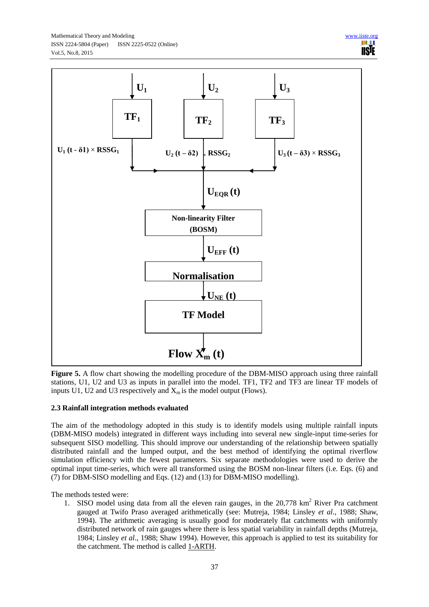![](_page_8_Figure_1.jpeg)

![](_page_8_Figure_2.jpeg)

**Figure 5.** A flow chart showing the modelling procedure of the DBM-MISO approach using three rainfall stations, U1, U2 and U3 as inputs in parallel into the model. TF1, TF2 and TF3 are linear TF models of inputs U1, U2 and U3 respectively and  $X<sub>m</sub>$  is the model output (Flows).

# **2.3 Rainfall integration methods evaluated**

The aim of the methodology adopted in this study is to identify models using multiple rainfall inputs (DBM-MISO models) integrated in different ways including into several new single-input time-series for subsequent SISO modelling. This should improve our understanding of the relationship between spatially distributed rainfall and the lumped output, and the best method of identifying the optimal riverflow simulation efficiency with the fewest parameters. Six separate methodologies were used to derive the optimal input time-series, which were all transformed using the BOSM non-linear filters (i.e. Eqs. (6) and (7) for DBM-SISO modelling and Eqs. (12) and (13) for DBM-MISO modelling).

The methods tested were:

1. SISO model using data from all the eleven rain gauges, in the 20,778 km<sup>2</sup> River Pra catchment gauged at Twifo Praso averaged arithmetically (see: Mutreja, 1984; Linsley *et al*., 1988; Shaw, 1994). The arithmetic averaging is usually good for moderately flat catchments with uniformly distributed network of rain gauges where there is less spatial variability in rainfall depths (Mutreja, 1984; Linsley *et al*., 1988; Shaw 1994). However, this approach is applied to test its suitability for the catchment. The method is called 1-ARTH.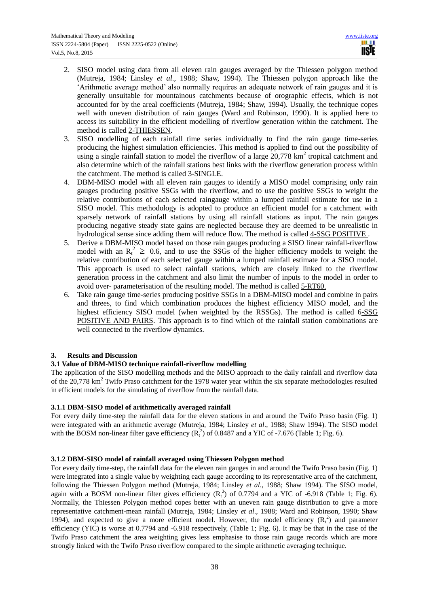- 2. SISO model using data from all eleven rain gauges averaged by the Thiessen polygon method (Mutreja, 1984; Linsley *et al*., 1988; Shaw, 1994). The Thiessen polygon approach like the 'Arithmetic average method' also normally requires an adequate network of rain gauges and it is generally unsuitable for mountainous catchments because of orographic effects, which is not accounted for by the areal coefficients (Mutreja, 1984; Shaw, 1994). Usually, the technique copes well with uneven distribution of rain gauges (Ward and Robinson, 1990). It is applied here to access its suitability in the efficient modelling of riverflow generation within the catchment. The method is called 2-THIESSEN.
- 3. SISO modelling of each rainfall time series individually to find the rain gauge time-series producing the highest simulation efficiencies. This method is applied to find out the possibility of using a single rainfall station to model the riverflow of a large  $20,778$  km<sup>2</sup> tropical catchment and also determine which of the rainfall stations best links with the riverflow generation process within the catchment. The method is called 3-SINGLE.
- 4. DBM-MISO model with all eleven rain gauges to identify a MISO model comprising only rain gauges producing positive SSGs with the riverflow, and to use the positive SSGs to weight the relative contributions of each selected raingauge within a lumped rainfall estimate for use in a SISO model. This methodology is adopted to produce an efficient model for a catchment with sparsely network of rainfall stations by using all rainfall stations as input. The rain gauges producing negative steady state gains are neglected because they are deemed to be unrealistic in hydrological sense since adding them will reduce flow. The method is called 4-SSG POSITIVE .
- 5. Derive a DBM-MISO model based on those rain gauges producing a SISO linear rainfall-riverflow model with an  $R_t^2 \geq 0.6$ , and to use the SSGs of the higher efficiency models to weight the relative contribution of each selected gauge within a lumped rainfall estimate for a SISO model. This approach is used to select rainfall stations, which are closely linked to the riverflow generation process in the catchment and also limit the number of inputs to the model in order to avoid over- parameterisation of the resulting model. The method is called 5-RT60.
- 6. Take rain gauge time-series producing positive SSGs in a DBM-MISO model and combine in pairs and threes, to find which combination produces the highest efficiency MISO model, and the highest efficiency SISO model (when weighted by the RSSGs). The method is called 6-SSG POSITIVE AND PAIRS. This approach is to find which of the rainfall station combinations are well connected to the riverflow dynamics.

# **3. Results and Discussion**

# **3.1 Value of DBM-MISO technique rainfall-riverflow modelling**

The application of the SISO modelling methods and the MISO approach to the daily rainfall and riverflow data of the 20,778 km<sup>2</sup> Twifo Praso catchment for the 1978 water year within the six separate methodologies resulted in efficient models for the simulating of riverflow from the rainfall data.

# **3.1.1 DBM-SISO model of arithmetically averaged rainfall**

For every daily time-step the rainfall data for the eleven stations in and around the Twifo Praso basin (Fig. 1) were integrated with an arithmetic average (Mutreja, 1984; Linsley *et al*., 1988; Shaw 1994). The SISO model with the BOSM non-linear filter gave efficiency  $(R_t^2)$  of 0.8487 and a YIC of -7.676 (Table 1; Fig. 6).

# **3.1.2 DBM-SISO model of rainfall averaged using Thiessen Polygon method**

For every daily time-step, the rainfall data for the eleven rain gauges in and around the Twifo Praso basin (Fig. 1) were integrated into a single value by weighting each gauge according to its representative area of the catchment, following the Thiessen Polygon method (Mutreja, 1984; Linsley *et al*., 1988; Shaw 1994). The SISO model, again with a BOSM non-linear filter gives efficiency  $(R<sub>t</sub><sup>2</sup>)$  of 0.7794 and a YIC of -6.918 (Table 1; Fig. 6). Normally, the Thiessen Polygon method copes better with an uneven rain gauge distribution to give a more representative catchment-mean rainfall (Mutreja, 1984; Linsley *et al*., 1988; Ward and Robinson, 1990; Shaw 1994), and expected to give a more efficient model. However, the model efficiency  $(R_t^2)$  and parameter efficiency (YIC) is worse at 0.7794 and -6.918 respectively, (Table 1; Fig. 6). It may be that in the case of the Twifo Praso catchment the area weighting gives less emphasise to those rain gauge records which are more strongly linked with the Twifo Praso riverflow compared to the simple arithmetic averaging technique.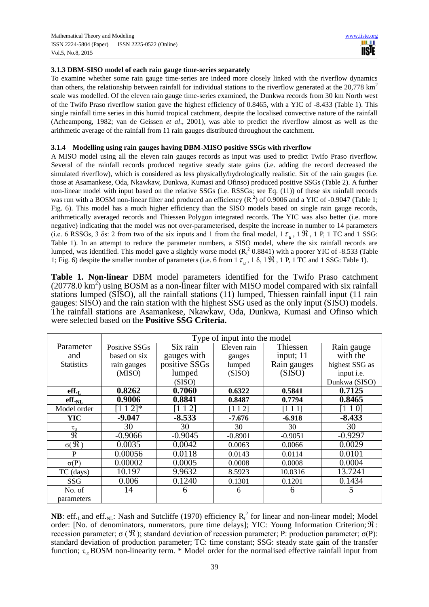## **3.1.3 DBM-SISO model of each rain gauge time-series separately**

To examine whether some rain gauge time-series are indeed more closely linked with the riverflow dynamics than others, the relationship between rainfall for individual stations to the riverflow generated at the  $20,778 \text{ km}^2$ scale was modelled. Of the eleven rain gauge time-series examined, the Dunkwa records from 30 km North west of the Twifo Praso riverflow station gave the highest efficiency of 0.8465, with a YIC of -8.433 (Table 1). This single rainfall time series in this humid tropical catchment, despite the localised convective nature of the rainfall (Acheampong, 1982; van de Geissen *et al*., 2001), was able to predict the riverflow almost as well as the arithmetic average of the rainfall from 11 rain gauges distributed throughout the catchment.

## **3.1.4 Modelling using rain gauges having DBM-MISO positive SSGs with riverflow**

A MISO model using all the eleven rain gauges records as input was used to predict Twifo Praso riverflow. Several of the rainfall records produced negative steady state gains (i.e. adding the record decreased the simulated riverflow), which is considered as less physically/hydrologically realistic. Six of the rain gauges (i.e. those at Asamankese, Oda, Nkawkaw, Dunkwa, Kumasi and Ofinso) produced positive SSGs (Table 2). A further non-linear model with input based on the relative SSGs (i.e. RSSGs; see Eq. (11)) of these six rainfall records was run with a BOSM non-linear filter and produced an efficiency  $(R<sub>t</sub><sup>2</sup>)$  of 0.9006 and a YIC of -0.9047 (Table 1; Fig. 6). This model has a much higher efficiency than the SISO models based on single rain gauge records, arithmetically averaged records and Thiessen Polygon integrated records. The YIC was also better (i.e. more negative) indicating that the model was not over-parameterised, despite the increase in number to 14 parameters (i.e. 6 RSSGs, 3  $\delta$ s: 2 from two of the six inputs and 1 from the final model, 1  $\tau_u$ , 1  $\Re$ , 1 P, 1 TC and 1 SSG: Table 1). In an attempt to reduce the parameter numbers, a SISO model, where the six rainfall records are lumped, was identified. This model gave a slightly worse model  $(R<sub>t</sub><sup>2</sup> 0.8841)$  with a poorer YIC of -8.533 (Table 1; Fig. 6) despite the smaller number of parameters (i.e. 6 from 1  $\tau_u$ , 1  $\delta$ , 1  $\Re$ , 1 P, 1 TC and 1 SSG: Table 1).

**Table 1. Non-linear** DBM model parameters identified for the Twifo Praso catchment (20778.0 km<sup>2</sup> ) using BOSM as a non-linear filter with MISO model compared with six rainfall stations lumped (SISO), all the rainfall stations (11) lumped, Thiessen rainfall input (11 rain gauges: SISO) and the rain station with the highest SSG used as the only input (SISO) models. The rainfall stations are Asamankese, Nkawkaw, Oda, Dunkwa, Kumasi and Ofinso which were selected based on the **Positive SSG Criteria.**

|                        | Type of input into the model |                |             |             |                |
|------------------------|------------------------------|----------------|-------------|-------------|----------------|
| Parameter              | Positive SSGs                | Six rain       | Eleven rain | Thiessen    | Rain gauge     |
| and                    | based on six                 | gauges with    | gauges      | input; 11   | with the       |
| <b>Statistics</b>      | rain gauges                  | positive SSGs  | lumped      | Rain gauges | highest SSG as |
|                        | (MISO)                       | lumped         | (SISO)      | (SISO)      | input i.e.     |
|                        |                              | (SISO)         |             |             | Dunkwa (SISO)  |
| eff.                   | 0.8262                       | 0.7060         | 0.6322      | 0.5841      | 0.7125         |
| eff.NL                 | 0.9006                       | 0.8841         | 0.8487      | 0.7794      | 0.8465         |
| Model order            | $21*$                        | $\overline{2}$ | [1 1 2]     | [1 1 1]     | 10             |
| <b>YIC</b>             | $-9.047$                     | $-8.533$       | -7.676      | $-6.918$    | $-8.433$       |
| $\tau_{\rm u}$         | 30                           | 30             | 30          | 30          | 30             |
| $\mathfrak{R}$         | $-0.9066$                    | $-0.9045$      | $-0.8901$   | $-0.9051$   | $-0.9297$      |
| $\sigma(\mathfrak{R})$ | 0.0035                       | 0.0042         | 0.0063      | 0.0066      | 0.0029         |
| P                      | 0.00056                      | 0.0118         | 0.0143      | 0.0114      | 0.0101         |
| $\sigma(P)$            | 0.00002                      | 0.0005         | 0.0008      | 0.0008      | 0.0004         |
| TC (days)              | 10.197                       | 9.9632         | 8.5923      | 10.0316     | 13.7241        |
| SSG                    | 0.006                        | 0.1240         | 0.1301      | 0.1201      | 0.1434         |
| No. of                 | 14                           | 6              | 6           | 6           | 5              |
| parameters             |                              |                |             |             |                |

**NB**: eff.<sub>L</sub> and eff.<sub>NL</sub>: Nash and Sutcliffe (1970) efficiency  $R_t^2$  for linear and non-linear model; Model order: [No. of denominators, numerators, pure time delays]; YIC: Young Information Criterion;  $\Re$ : recession parameter;  $\sigma$  ( $\Re$ ); standard deviation of recession parameter; P: production parameter;  $\sigma$ (P): standard deviation of production parameter; TC: time constant; SSG: steady state gain of the transfer function;  $\tau_{u}$ : BOSM non-linearity term. \* Model order for the normalised effective rainfall input from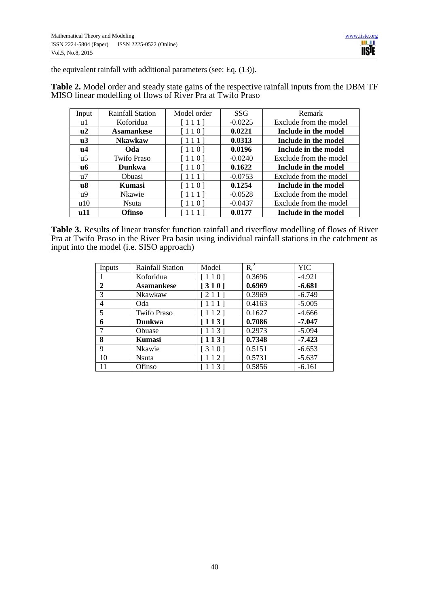the equivalent rainfall with additional parameters (see: Eq. (13)).

**Table 2.** Model order and steady state gains of the respective rainfall inputs from the DBM TF MISO linear modelling of flows of River Pra at Twifo Praso

| Input | Rainfall Station   | Model order             | <b>SSG</b> | Remark                 |
|-------|--------------------|-------------------------|------------|------------------------|
| u1    | Koforidua          | [111]                   | $-0.0225$  | Exclude from the model |
| u2    | <b>Asamankese</b>  | [110]                   | 0.0221     | Include in the model   |
| u3    | <b>Nkawkaw</b>     | [111]                   | 0.0313     | Include in the model   |
| u4    | Oda                | $[110]$                 | 0.0196     | Include in the model   |
| u5    | <b>Twifo Praso</b> | [110]                   | $-0.0240$  | Exclude from the model |
| uб    | <b>Dunkwa</b>      | [110]                   | 0.1622     | Include in the model   |
| u7    | <b>Obuasi</b>      | [111]                   | $-0.0753$  | Exclude from the model |
| u8    | Kumasi             | $[110]$                 | 0.1254     | Include in the model   |
| u9    | <b>Nkawie</b>      | [111]                   | $-0.0528$  | Exclude from the model |
| u10   | <b>N</b> suta      | [110]                   | $-0.0437$  | Exclude from the model |
| u11   | <b>Ofinso</b>      | $\perp$ $\perp$ $\perp$ | 0.0177     | Include in the model   |

**Table 3.** Results of linear transfer function rainfall and riverflow modelling of flows of River Pra at Twifo Praso in the River Pra basin using individual rainfall stations in the catchment as input into the model (i.e. SISO approach)

| Inputs         | Rainfall Station   | Model   | $R_t^2$ | <b>YIC</b> |
|----------------|--------------------|---------|---------|------------|
|                | Koforidua          | 110]    | 0.3696  | $-4.921$   |
| $\mathbf{2}$   | <b>Asamankese</b>  | [310]   | 0.6969  | $-6.681$   |
| 3              | Nkawkaw            | [211]   | 0.3969  | $-6.749$   |
| $\overline{4}$ | Oda                | [111]   | 0.4163  | $-5.005$   |
| 5              | <b>Twifo Praso</b> | $[112]$ | 0.1627  | $-4.666$   |
| 6              | Dunkwa             | [113]   | 0.7086  | $-7.047$   |
| 7              | Obuase             | 113     | 0.2973  | $-5.094$   |
| 8              | <b>Kumasi</b>      | [113]   | 0.7348  | $-7.423$   |
| 9              | Nkawie             | [310]   | 0.5151  | $-6.653$   |
| 10             | Nsuta              | [112]   | 0.5731  | $-5.637$   |
| 11             | Ofinso             |         | 0.5856  | $-6.161$   |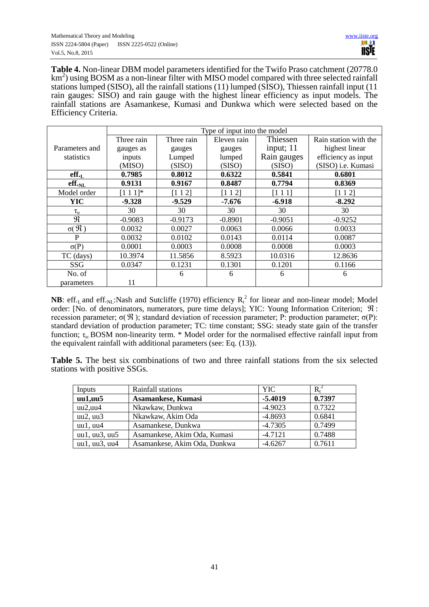**Table 4.** Non-linear DBM model parameters identified for the Twifo Praso catchment (20778.0  $km<sup>2</sup>$ ) using BOSM as a non-linear filter with MISO model compared with three selected rainfall stations lumped (SISO), all the rainfall stations (11) lumped (SISO), Thiessen rainfall input (11 rain gauges: SISO) and rain gauge with the highest linear efficiency as input models. The rainfall stations are Asamankese, Kumasi and Dunkwa which were selected based on the Efficiency Criteria.

|                        | Type of input into the model |            |             |             |                       |
|------------------------|------------------------------|------------|-------------|-------------|-----------------------|
|                        | Three rain                   | Three rain | Eleven rain | Thiessen    | Rain station with the |
| Parameters and         | gauges as                    | gauges     | gauges      | input; $11$ | highest linear        |
| statistics             | inputs                       | Lumped     | lumped      | Rain gauges | efficiency as input   |
|                        | (MISO)                       | (SISO)     | (SISO)      | (SISO)      | (SISO) i.e. Kumasi    |
| eff.                   | 0.7985                       | 0.8012     | 0.6322      | 0.5841      | 0.6801                |
| eff. <sub>NL</sub>     | 0.9131                       | 0.9167     | 0.8487      | 0.7794      | 0.8369                |
| Model order            | $[1 1 1]$ *                  | [1 1 2]    | [1 1 2]     | [1 1 1]     | [1 1 2]               |
| <b>YIC</b>             | $-9.328$                     | $-9.529$   | $-7.676$    | $-6.918$    | $-8.292$              |
| $\tau_{\rm u}$         | 30                           | 30         | 30          | 30          | 30                    |
| $\mathfrak{R}$         | $-0.9083$                    | $-0.9173$  | $-0.8901$   | $-0.9051$   | $-0.9252$             |
| $\sigma(\mathfrak{R})$ | 0.0032                       | 0.0027     | 0.0063      | 0.0066      | 0.0033                |
| P                      | 0.0032                       | 0.0102     | 0.0143      | 0.0114      | 0.0087                |
| $\sigma(P)$            | 0.0001                       | 0.0003     | 0.0008      | 0.0008      | 0.0003                |
| TC (days)              | 10.3974                      | 11.5856    | 8.5923      | 10.0316     | 12.8636               |
| SSG                    | 0.0347                       | 0.1231     | 0.1301      | 0.1201      | 0.1166                |
| No. of                 |                              | 6          | 6           | 6           | 6                     |
| parameters             | 11                           |            |             |             |                       |

**NB**: eff.<sub>L</sub> and eff.<sub>NL</sub>:Nash and Sutcliffe (1970) efficiency  $R_t^2$  for linear and non-linear model; Model order: [No. of denominators, numerators, pure time delays]; YIC: Young Information Criterion;  $\Re$ : recession parameter;  $\sigma$ (  $\Re$  ); standard deviation of recession parameter; P: production parameter;  $\sigma$ (P): standard deviation of production parameter; TC: time constant; SSG: steady state gain of the transfer function;  $\tau_{u}$ : BOSM non-linearity term. \* Model order for the normalised effective rainfall input from the equivalent rainfall with additional parameters (see: Eq. (13)).

**Table 5.** The best six combinations of two and three rainfall stations from the six selected stations with positive SSGs.

| Inputs        | Rainfall stations            | <b>YIC</b> |        |
|---------------|------------------------------|------------|--------|
| uu1, uu5      | Asamankese, Kumasi           | $-5.4019$  | 0.7397 |
| uu2, uu4      | Nkawkaw, Dunkwa              | $-4.9023$  | 0.7322 |
| uu2, uu3      | Nkawkaw, Akim Oda            | $-4.8693$  | 0.6841 |
| uu1, uu4      | Asamankese, Dunkwa           | $-4.7305$  | 0.7499 |
| uu1, uu3, uu5 | Asamankese, Akim Oda, Kumasi | $-4.7121$  | 0.7488 |
| uu1, uu3, uu4 | Asamankese, Akim Oda, Dunkwa | $-4.6267$  | 0.7611 |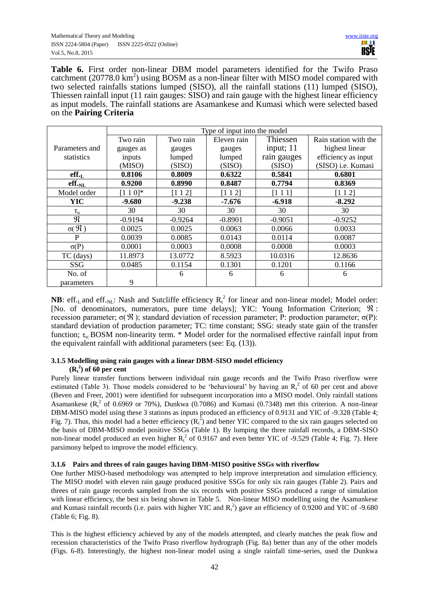**Table 6.** First order non-linear DBM model parameters identified for the Twifo Praso catchment  $(20778.0 \text{ km}^2)$  using BOSM as a non-linear filter with MISO model compared with two selected rainfalls stations lumped (SISO), all the rainfall stations (11) lumped (SISO), Thiessen rainfall input (11 rain gauges: SISO) and rain gauge with the highest linear efficiency as input models. The rainfall stations are Asamankese and Kumasi which were selected based on the **Pairing Criteria**

|                             | Type of input into the model |           |             |             |                       |
|-----------------------------|------------------------------|-----------|-------------|-------------|-----------------------|
|                             | Two rain                     | Two rain  | Eleven rain | Thiessen    | Rain station with the |
| Parameters and              | gauges as                    | gauges    | gauges      | input; 11   | highest linear        |
| statistics                  | inputs                       | lumped    | lumped      | rain gauges | efficiency as input   |
|                             | (MISO)                       | (SISO)    | (SISO)      | (SISO)      | (SISO) i.e. Kumasi    |
| $\textbf{eff.}_L$           | 0.8106                       | 0.8009    | 0.6322      | 0.5841      | 0.6801                |
| $\textbf{eff.}_{\text{NL}}$ | 0.9200                       | 0.8990    | 0.8487      | 0.7794      | 0.8369                |
| Model order                 | $[1 1 0]$ *                  | [1 1 2]   | [1 1 2]     | [111]       | [1 1 2]               |
| <b>YIC</b>                  | $-9.680$                     | $-9.238$  | $-7.676$    | $-6.918$    | $-8.292$              |
| $\tau_{\rm u}$              | 30                           | 30        | 30          | 30          | 30                    |
| $\mathfrak{R}$              | $-0.9194$                    | $-0.9264$ | $-0.8901$   | $-0.9051$   | $-0.9252$             |
| $\sigma(\mathfrak{R})$      | 0.0025                       | 0.0025    | 0.0063      | 0.0066      | 0.0033                |
| P                           | 0.0039                       | 0.0085    | 0.0143      | 0.0114      | 0.0087                |
| $\sigma(P)$                 | 0.0001                       | 0.0003    | 0.0008      | 0.0008      | 0.0003                |
| TC (days)                   | 11.8973                      | 13.0772   | 8.5923      | 10.0316     | 12.8636               |
| SSG                         | 0.0485                       | 0.1154    | 0.1301      | 0.1201      | 0.1166                |
| No. of                      |                              | 6         | 6           | 6           | 6                     |
| parameters                  | 9                            |           |             |             |                       |

**NB**: eff.<sub>L</sub> and eff.<sub>NL</sub>: Nash and Sutcliffe efficiency  $R_t^2$  for linear and non-linear model; Model order: [No. of denominators, numerators, pure time delays]; YIC: Young Information Criterion;  $\Re$ : recession parameter;  $\sigma$ ( $\Re$ ); standard deviation of recession parameter; P: production parameter;  $\sigma$ (P): standard deviation of production parameter; TC: time constant; SSG: steady state gain of the transfer function;  $\tau_{\rm u}$ : BOSM non-linearity term. \* Model order for the normalised effective rainfall input from the equivalent rainfall with additional parameters (see: Eq. (13)).

# **3.1.5 Modelling using rain gauges with a linear DBM-SISO model efficiency**   $(R_t^2)$  of 60 per cent

Purely linear transfer functions between individual rain gauge records and the Twifo Praso riverflow were estimated (Table 3). Those models considered to be 'behavioural' by having an  $R_t^2$  of 60 per cent and above (Beven and Freer, 2001) were identified for subsequent incorporation into a MISO model. Only rainfall stations Asamankese ( $R_t^2$  of 0.6969 or 70%), Dunkwa (0.7086) and Kumasi (0.7348) met this criterion. A non-linear DBM-MISO model using these 3 stations as inputs produced an efficiency of 0.9131 and YIC of -9.328 (Table 4; Fig. 7). Thus, this model had a better efficiency  $(R_t^2)$  and better YIC compared to the six rain gauges selected on the basis of DBM-MISO model positive SSGs (Table 1). By lumping the three rainfall records, a DBM-SISO non-linear model produced an even higher  $R_t^2$  of 0.9167 and even better YIC of -9.529 (Table 4; Fig. 7). Here parsimony helped to improve the model efficiency.

# **3.1.6 Pairs and threes of rain gauges having DBM-MISO positive SSGs with riverflow**

One further MISO-based methodology was attempted to help improve interpretation and simulation efficiency. The MISO model with eleven rain gauge produced positive SSGs for only six rain gauges (Table 2). Pairs and threes of rain gauge records sampled from the six records with positive SSGs produced a range of simulation with linear efficiency, the best six being shown in Table 5. Non-linear MISO modelling using the Asamankese and Kumasi rainfall records (i.e. pairs with higher YIC and  $R_t^2$ ) gave an efficiency of 0.9200 and YIC of -9.680 (Table 6; Fig. 8).

This is the highest efficiency achieved by any of the models attempted, and clearly matches the peak flow and recession characteristics of the Twifo Praso riverflow hydrograph (Fig. 8a) better than any of the other models (Figs. 6-8). Interestingly, the highest non-linear model using a single rainfall time-series, used the Dunkwa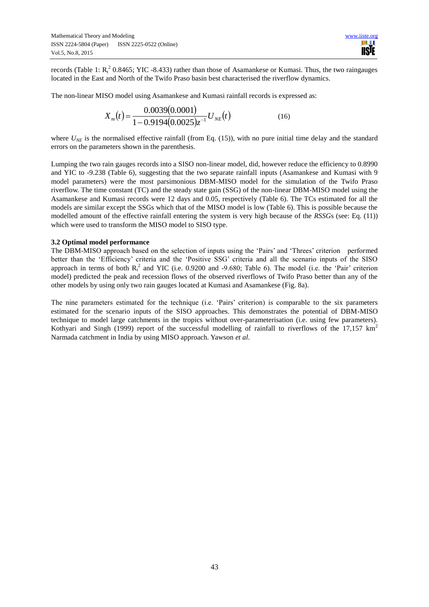records (Table 1:  $R_t^2$  0.8465; YIC -8.433) rather than those of Asamankese or Kumasi. Thus, the two raingauges located in the East and North of the Twifo Praso basin best characterised the riverflow dynamics.

The non-linear MISO model using Asamankese and Kumasi rainfall records is expressed as:

$$
X_m(t) = \frac{0.0039(0.0001)}{1 - 0.9194(0.0025)z^{-1}} U_{NE}(t)
$$
\n(16)

where  $U_{NE}$  is the normalised effective rainfall (from Eq. (15)), with no pure initial time delay and the standard errors on the parameters shown in the parenthesis.

Lumping the two rain gauges records into a SISO non-linear model, did, however reduce the efficiency to 0.8990 and YIC to -9.238 (Table 6), suggesting that the two separate rainfall inputs (Asamankese and Kumasi with 9 model parameters) were the most parsimonious DBM-MISO model for the simulation of the Twifo Praso riverflow. The time constant (TC) and the steady state gain (SSG) of the non-linear DBM-MISO model using the Asamankese and Kumasi records were 12 days and 0.05, respectively (Table 6). The TCs estimated for all the models are similar except the SSGs which that of the MISO model is low (Table 6). This is possible because the modelled amount of the effective rainfall entering the system is very high because of the *RSSG*s (see: Eq. (11)) which were used to transform the MISO model to SISO type.

#### **3.2 Optimal model performance**

The DBM-MISO approach based on the selection of inputs using the 'Pairs' and 'Threes' criterion performed better than the 'Efficiency' criteria and the 'Positive SSG' criteria and all the scenario inputs of the SISO approach in terms of both  $R_t^2$  and YIC (i.e. 0.9200 and -9.680; Table 6). The model (i.e. the 'Pair' criterion model) predicted the peak and recession flows of the observed riverflows of Twifo Praso better than any of the other models by using only two rain gauges located at Kumasi and Asamankese (Fig. 8a).

The nine parameters estimated for the technique (i.e. 'Pairs' criterion) is comparable to the six parameters estimated for the scenario inputs of the SISO approaches. This demonstrates the potential of DBM-MISO technique to model large catchments in the tropics without over-parameterisation (i.e. using few parameters). Kothyari and Singh (1999) report of the successful modelling of rainfall to riverflows of the 17,157  $km^2$ Narmada catchment in India by using MISO approach. Yawson *et al*.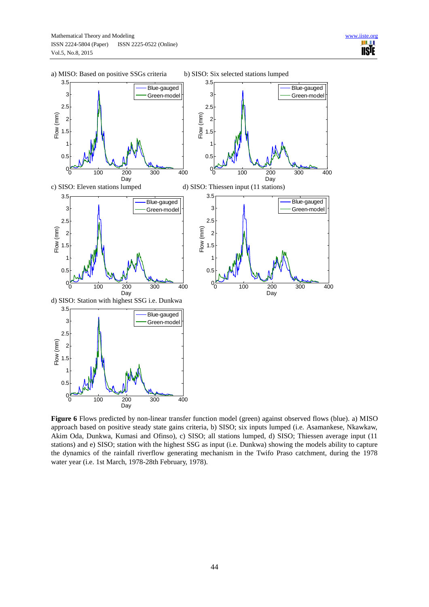![](_page_15_Figure_2.jpeg)

**Figure 6** Flows predicted by non-linear transfer function model (green) against observed flows (blue). a) MISO approach based on positive steady state gains criteria, b) SISO; six inputs lumped (i.e. Asamankese, Nkawkaw, Akim Oda, Dunkwa, Kumasi and Ofinso), c) SISO; all stations lumped, d) SISO; Thiessen average input (11 stations) and e) SISO; station with the highest SSG as input (i.e. Dunkwa) showing the models ability to capture the dynamics of the rainfall riverflow generating mechanism in the Twifo Praso catchment, during the 1978 water year (i.e. 1st March, 1978-28th February, 1978).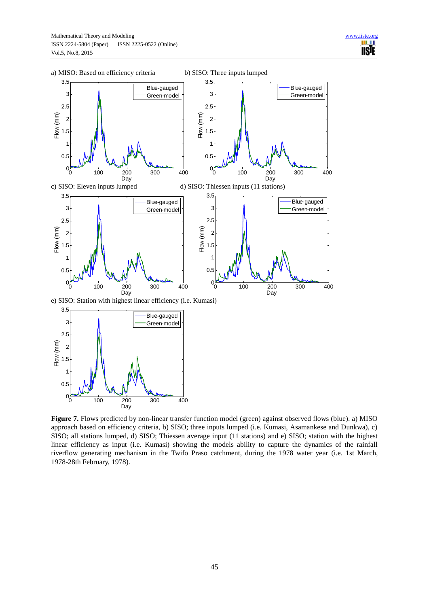![](_page_16_Figure_2.jpeg)

**Figure 7.** Flows predicted by non-linear transfer function model (green) against observed flows (blue). a) MISO approach based on efficiency criteria, b) SISO; three inputs lumped (i.e. Kumasi, Asamankese and Dunkwa), c) SISO; all stations lumped, d) SISO; Thiessen average input (11 stations) and e) SISO; station with the highest linear efficiency as input (i.e. Kumasi) showing the models ability to capture the dynamics of the rainfall riverflow generating mechanism in the Twifo Praso catchment, during the 1978 water year (i.e. 1st March, 1978-28th February, 1978).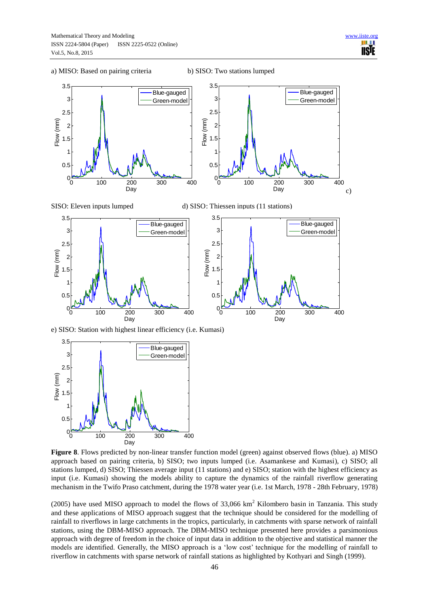![](_page_17_Figure_3.jpeg)

e) SISO: Station with highest linear efficiency (i.e. Kumasi)

![](_page_17_Figure_5.jpeg)

**Figure 8**. Flows predicted by non-linear transfer function model (green) against observed flows (blue). a) MISO approach based on pairing criteria, b) SISO; two inputs lumped (i.e. Asamankese and Kumasi), c) SISO; all stations lumped, d) SISO; Thiessen average input (11 stations) and e) SISO; station with the highest efficiency as input (i.e. Kumasi) showing the models ability to capture the dynamics of the rainfall riverflow generating mechanism in the Twifo Praso catchment, during the 1978 water year (i.e. 1st March, 1978 - 28th February, 1978)

(2005) have used MISO approach to model the flows of 33,066  $km<sup>2</sup>$  Kilombero basin in Tanzania. This study and these applications of MISO approach suggest that the technique should be considered for the modelling of rainfall to riverflows in large catchments in the tropics, particularly, in catchments with sparse network of rainfall stations, using the DBM-MISO approach. The DBM-MISO technique presented here provides a parsimonious approach with degree of freedom in the choice of input data in addition to the objective and statistical manner the models are identified. Generally, the MISO approach is a 'low cost' technique for the modelling of rainfall to riverflow in catchments with sparse network of rainfall stations as highlighted by Kothyari and Singh (1999).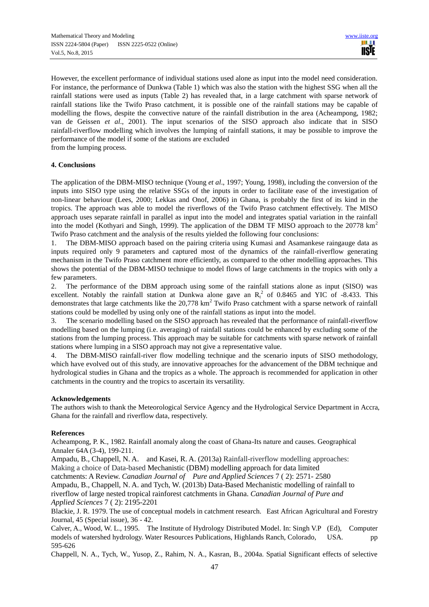However, the excellent performance of individual stations used alone as input into the model need consideration. For instance, the performance of Dunkwa (Table 1) which was also the station with the highest SSG when all the rainfall stations were used as inputs (Table 2) has revealed that, in a large catchment with sparse network of rainfall stations like the Twifo Praso catchment, it is possible one of the rainfall stations may be capable of modelling the flows, despite the convective nature of the rainfall distribution in the area (Acheampong, 1982; van de Geissen *et al*., 2001). The input scenarios of the SISO approach also indicate that in SISO rainfall-riverflow modelling which involves the lumping of rainfall stations, it may be possible to improve the performance of the model if some of the stations are excluded from the lumping process.

#### **4. Conclusions**

The application of the DBM-MISO technique (Young *et al*., 1997; Young, 1998), including the conversion of the inputs into SISO type using the relative SSGs of the inputs in order to facilitate ease of the investigation of non-linear behaviour (Lees, 2000; Lekkas and Onof, 2006) in Ghana, is probably the first of its kind in the tropics. The approach was able to model the riverflows of the Twifo Praso catchment effectively. The MISO approach uses separate rainfall in parallel as input into the model and integrates spatial variation in the rainfall into the model (Kothyari and Singh, 1999). The application of the DBM TF MISO approach to the 20778 km<sup>2</sup> Twifo Praso catchment and the analysis of the results yielded the following four conclusions:

1. The DBM-MISO approach based on the pairing criteria using Kumasi and Asamankese raingauge data as inputs required only 9 parameters and captured most of the dynamics of the rainfall-riverflow generating mechanism in the Twifo Praso catchment more efficiently, as compared to the other modelling approaches. This shows the potential of the DBM-MISO technique to model flows of large catchments in the tropics with only a few parameters.

2. The performance of the DBM approach using some of the rainfall stations alone as input (SISO) was excellent. Notably the rainfall station at Dunkwa alone gave an  $R_t^2$  of 0.8465 and YIC of -8.433. This demonstrates that large catchments like the 20,778 km<sup>2</sup> Twifo Praso catchment with a sparse network of rainfall stations could be modelled by using only one of the rainfall stations as input into the model.

3. The scenario modelling based on the SISO approach has revealed that the performance of rainfall-riverflow modelling based on the lumping (i.e. averaging) of rainfall stations could be enhanced by excluding some of the stations from the lumping process. This approach may be suitable for catchments with sparse network of rainfall stations where lumping in a SISO approach may not give a representative value.

4. The DBM-MISO rainfall-river flow modelling technique and the scenario inputs of SISO methodology, which have evolved out of this study, are innovative approaches for the advancement of the DBM technique and hydrological studies in Ghana and the tropics as a whole. The approach is recommended for application in other catchments in the country and the tropics to ascertain its versatility.

## **Acknowledgements**

The authors wish to thank the Meteorological Service Agency and the Hydrological Service Department in Accra, Ghana for the rainfall and riverflow data, respectively.

## **References**

Acheampong, P. K., 1982. Rainfall anomaly along the coast of Ghana-Its nature and causes. Geographical Annaler 64A (3-4), 199-211.

Ampadu, B., Chappell, N. A. and Kasei, R. A. (2013a) Rainfall-riverflow modelling approaches: Making a choice of Data-based Mechanistic (DBM) modelling approach for data limited catchments: A Review. *Canadian Journal of Pure and Applied Sciences* 7 ( 2): 2571- 2580 Ampadu, B., Chappell, N. A. and Tych, W. (2013b) Data-Based Mechanistic modelling of rainfall to riverflow of large nested tropical rainforest catchments in Ghana. *Canadian Journal of Pure and Applied Sciences* 7 ( 2): 2195-2201

Blackie, J. R. 1979. The use of conceptual models in catchment research. East African Agricultural and Forestry Journal, 45 (Special issue), 36 - 42.

Calver, A., Wood, W. L., 1995. The Institute of Hydrology Distributed Model. In: Singh V.P (Ed), Computer models of watershed hydrology. Water Resources Publications, Highlands Ranch, Colorado, USA. pp 595-626

Chappell, N. A., Tych, W., Yusop, Z., Rahim, N. A., Kasran, B., 2004a. Spatial Significant effects of selective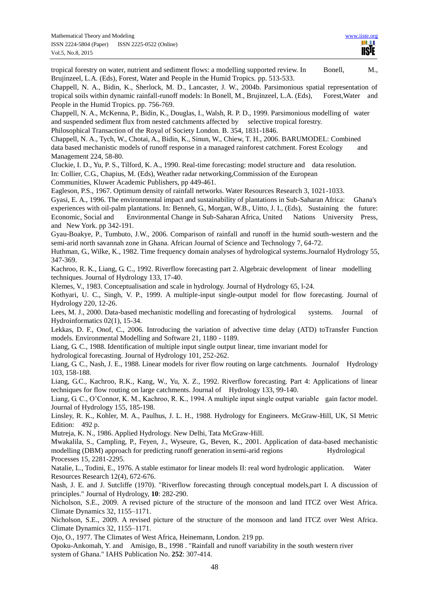Brujinzeel, L.A. (Eds), Forest, Water and People in the Humid Tropics. pp. 513-533. Chappell, N. A., Bidin, K., Sherlock, M. D., Lancaster, J. W., 2004b. Parsimonious spatial representation of tropical soils within dynamic rainfall-runoff models: In Bonell, M., Brujinzeel, L.A. (Eds), Forest,Water and People in the Humid Tropics. pp. 756-769. Chappell, N. A., McKenna, P., Bidin, K., Douglas, I., Walsh, R. P. D., 1999. Parsimonious modelling of water and suspended sediment flux from nested catchments affected by selective tropical forestry. Philosophical Transaction of the Royal of Society London. B. 354, 1831-1846. Chappell, N. A., Tych, W., Chotai, A., Bidin, K., Sinun, W., Chiew, T. H., 2006. BARUMODEL: Combined data based mechanistic models of runoff response in a managed rainforest catchment. Forest Ecology and Management 224, 58-80. Cluckie, I. D., Yu, P. S., Tilford, K. A., 1990. Real-time forecasting: model structure and data resolution. In: Collier, C.G., Chapius, M. (Eds), Weather radar networking,Commission of the European Communities, Kluwer Academic Publishers, pp 449-461. Eagleson, P.S., 1967. Optimum density of rainfall networks. Water Resources Research 3, 1021-1033. Gyasi, E. A., 1996. The environmental impact and sustainability of plantations in Sub-Saharan Africa: Ghana's experiences with oil-palm plantations. In: Benneh, G., Morgan, W.B., Uitto, J. I., (Eds), Sustaining the future: Economic, Social and Environmental Change in Sub-Saharan Africa, United Nations University Press, and New York. pp 342-191. Gyau-Boakye, P., Tumbuto, J.W., 2006. Comparison of rainfall and runoff in the humid south-western and the semi-arid north savannah zone in Ghana. African Journal of Science and Technology 7, 64-72. Huthman, G., Wilke, K., 1982. Time frequency domain analyses of hydrological systems.Journalof Hydrology 55, 347-369. Kachroo, R. K., Liang, G. C., 1992. Riverflow forecasting part 2. Algebraic development of linear modelling techniques. Journal of Hydrology 133, 17-40. Klemes, V., 1983. Conceptualisation and scale in hydrology. Journal of Hydrology 65, l-24. Kothyari, U. C., Singh, V. P., 1999. A multiple-input single-output model for flow forecasting. Journal of Hydrology 220, 12-26. Lees, M. J., 2000. Data-based mechanistic modelling and forecasting of hydrological systems. Journal of Hydroinformatics 02(1), 15-34. Lekkas, D. F., Onof, C., 2006. Introducing the variation of advective time delay (ATD) toTransfer Function models. Environmental Modelling and Software 21, 1180 - 1189.

tropical forestry on water, nutrient and sediment flows: a modelling supported review. In Bonell, M.,

Liang, G. C., 1988. Identification of multiple input single output linear, time invariant model for

hydrological forecasting. Journal of Hydrology 101, 252-262.

Liang, G. C., Nash, J. E., 1988. Linear models for river flow routing on large catchments. Journalof Hydrology 103, 158-188.

Liang, G.C., Kachroo, R.K., Kang, W., Yu, X. Z., 1992. Riverflow forecasting. Part 4: Applications of linear techniques for flow routing on large catchments. Journal of Hydrology 133, 99-140.

Liang, G. C., O'Connor, K. M., Kachroo, R. K., 1994. A multiple input single output variable gain factor model. Journal of Hydrology 155, 185-198.

Linsley, R. K., Kohler, M. A., Paulhus, J. L. H., 1988. Hydrology for Engineers. McGraw-Hill, UK, SI Metric Edition: 492 p.

Mutreja, K. N., 1986. Applied Hydrology. New Delhi, Tata McGraw-Hill.

Mwakalila, S., Campling, P., Feyen, J., Wyseure, G., Beven, K., 2001. Application of data-based mechanistic modelling (DBM) approach for predicting runoff generation in semi-arid regions Hydrological Processes 15, 2281-2295.

Natalie, L., Todini, E., 1976. A stable estimator for linear models II: real word hydrologic application. Water Resources Research 12(4), 672-676.

Nash, J. E. and J. Sutcliffe (1970). "Riverflow forecasting through conceptual models,part I. A discussion of principles." Journal of Hydrology, **10**: 282-290.

Nicholson, S.E., 2009. A revised picture of the structure of the monsoon and land ITCZ over West Africa. Climate Dynamics 32, 1155–1171.

Nicholson, S.E., 2009. A revised picture of the structure of the monsoon and land ITCZ over West Africa. Climate Dynamics 32, 1155–1171.

Ojo, O., 1977. The Climates of West Africa, Heinemann, London. 219 pp.

Opoku-Ankomah, Y. and Amisigo, B., 1998 . "Rainfall and runoff variability in the south western river system of Ghana." IAHS Publication No. **252**: 307-414.